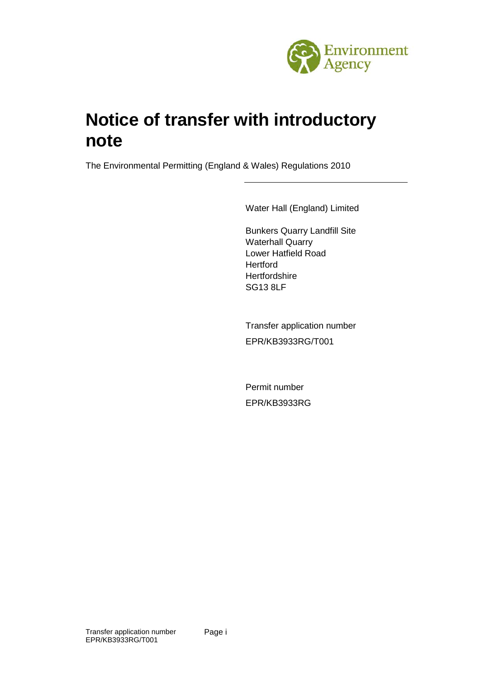

# **Notice of transfer with introductory note**

The Environmental Permitting (England & Wales) Regulations 2010

Water Hall (England) Limited

Bunkers Quarry Landfill Site Waterhall Quarry Lower Hatfield Road **Hertford Hertfordshire** SG13 8LF

Transfer application number EPR/KB3933RG/T001

Permit number EPR/KB3933RG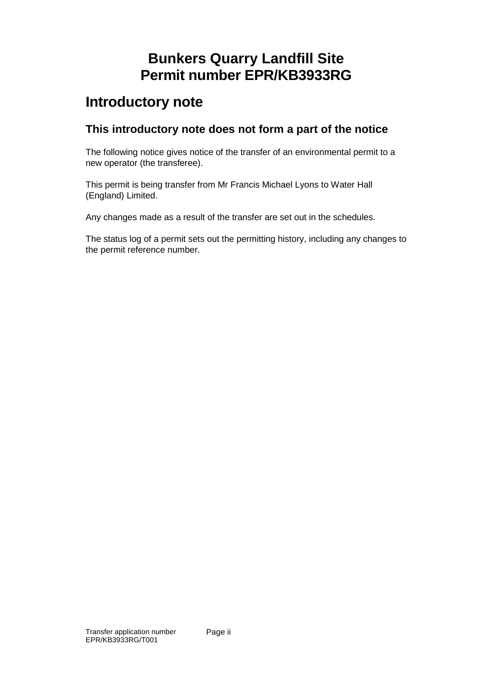## **Bunkers Quarry Landfill Site Permit number EPR/KB3933RG**

### **Introductory note**

### **This introductory note does not form a part of the notice**

The following notice gives notice of the transfer of an environmental permit to a new operator (the transferee).

This permit is being transfer from Mr Francis Michael Lyons to Water Hall (England) Limited.

Any changes made as a result of the transfer are set out in the schedules.

The status log of a permit sets out the permitting history, including any changes to the permit reference number.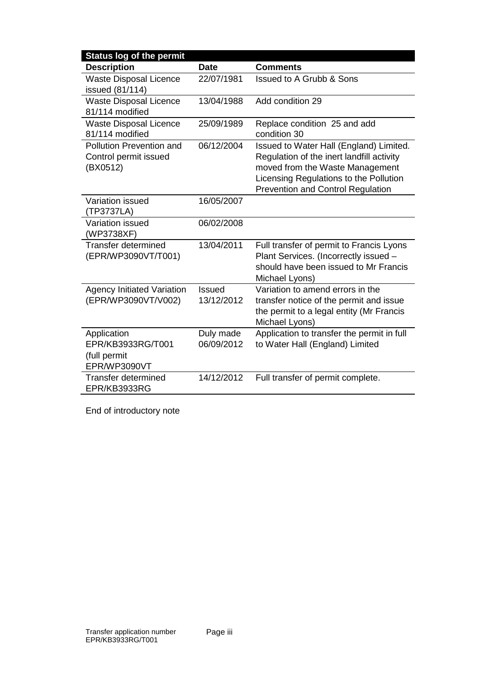| <b>Status log of the permit</b>                                  |                         |                                                                                                                                                                                                               |
|------------------------------------------------------------------|-------------------------|---------------------------------------------------------------------------------------------------------------------------------------------------------------------------------------------------------------|
| <b>Description</b>                                               | <b>Date</b>             | <b>Comments</b>                                                                                                                                                                                               |
| <b>Waste Disposal Licence</b><br>issued (81/114)                 | 22/07/1981              | <b>Issued to A Grubb &amp; Sons</b>                                                                                                                                                                           |
| <b>Waste Disposal Licence</b><br>81/114 modified                 | 13/04/1988              | Add condition 29                                                                                                                                                                                              |
| <b>Waste Disposal Licence</b><br>81/114 modified                 | 25/09/1989              | Replace condition 25 and add<br>condition 30                                                                                                                                                                  |
| Pollution Prevention and<br>Control permit issued<br>(BX0512)    | 06/12/2004              | Issued to Water Hall (England) Limited.<br>Regulation of the inert landfill activity<br>moved from the Waste Management<br>Licensing Regulations to the Pollution<br><b>Prevention and Control Regulation</b> |
| Variation issued<br>(TP3737LA)                                   | 16/05/2007              |                                                                                                                                                                                                               |
| Variation issued<br>(WP3738XF)                                   | 06/02/2008              |                                                                                                                                                                                                               |
| Transfer determined<br>(EPR/WP3090VT/T001)                       | 13/04/2011              | Full transfer of permit to Francis Lyons<br>Plant Services. (Incorrectly issued -<br>should have been issued to Mr Francis<br>Michael Lyons)                                                                  |
| <b>Agency Initiated Variation</b><br>(EPR/WP3090VT/V002)         | Issued<br>13/12/2012    | Variation to amend errors in the<br>transfer notice of the permit and issue<br>the permit to a legal entity (Mr Francis<br>Michael Lyons)                                                                     |
| Application<br>EPR/KB3933RG/T001<br>(full permit<br>EPR/WP3090VT | Duly made<br>06/09/2012 | Application to transfer the permit in full<br>to Water Hall (England) Limited                                                                                                                                 |
| <b>Transfer determined</b><br>EPR/KB3933RG                       | 14/12/2012              | Full transfer of permit complete.                                                                                                                                                                             |

End of introductory note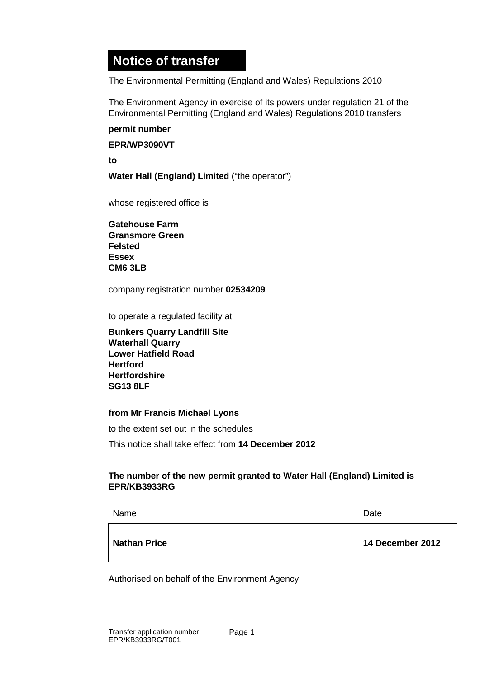### **Notice of transfer**

The Environmental Permitting (England and Wales) Regulations 2010

The Environment Agency in exercise of its powers under regulation 21 of the Environmental Permitting (England and Wales) Regulations 2010 transfers

#### **permit number**

**EPR/WP3090VT**

**to**

**Water Hall (England) Limited** ("the operator")

whose registered office is

**Gatehouse Farm Gransmore Green Felsted Essex CM6 3LB**

company registration number **02534209**

to operate a regulated facility at

**Bunkers Quarry Landfill Site Waterhall Quarry Lower Hatfield Road Hertford Hertfordshire SG13 8LF**

#### **from Mr Francis Michael Lyons**

to the extent set out in the schedules

This notice shall take effect from **14 December 2012**

#### **The number of the new permit granted to Water Hall (England) Limited is EPR/KB3933RG**

| Name                | Date             |
|---------------------|------------------|
| <b>Nathan Price</b> | 14 December 2012 |

Authorised on behalf of the Environment Agency